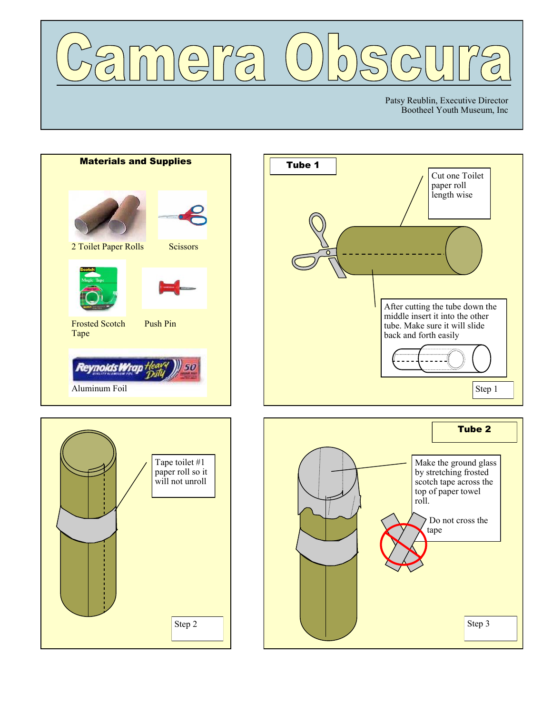

Patsy Reublin, Executive Director Bootheel Youth Museum, Inc